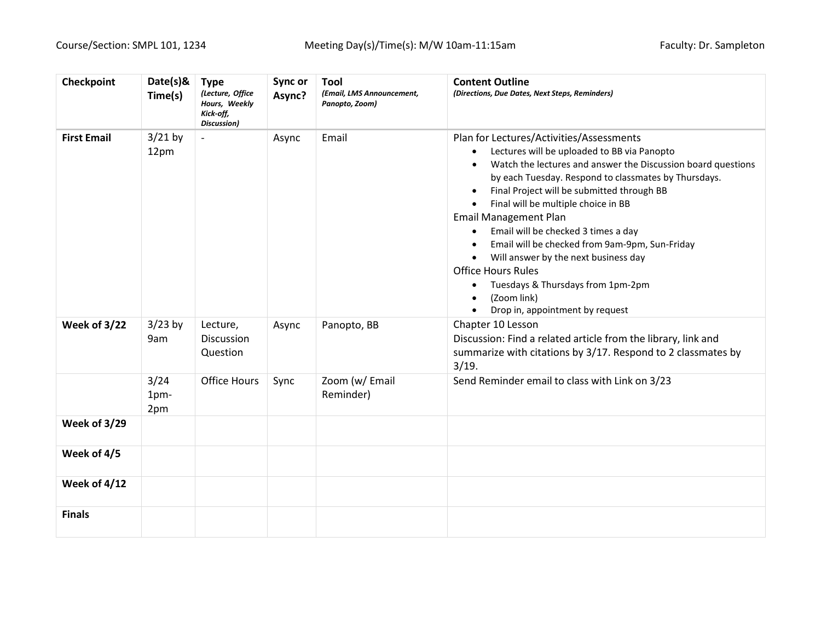| Checkpoint          | Date(s)&<br>Time(s) | <b>Type</b><br>(Lecture, Office<br>Hours, Weekly<br>Kick-off,<br>Discussion) | Sync or<br>Async? | <b>Tool</b><br>(Email, LMS Announcement,<br>Panopto, Zoom) | <b>Content Outline</b><br>(Directions, Due Dates, Next Steps, Reminders)                                                                                                                                                                                                                                                                                                                                                                                                                                                                                                                                                         |
|---------------------|---------------------|------------------------------------------------------------------------------|-------------------|------------------------------------------------------------|----------------------------------------------------------------------------------------------------------------------------------------------------------------------------------------------------------------------------------------------------------------------------------------------------------------------------------------------------------------------------------------------------------------------------------------------------------------------------------------------------------------------------------------------------------------------------------------------------------------------------------|
| <b>First Email</b>  | $3/21$ by<br>12pm   | $\overline{\phantom{a}}$                                                     | Async             | Email                                                      | Plan for Lectures/Activities/Assessments<br>Lectures will be uploaded to BB via Panopto<br>Watch the lectures and answer the Discussion board questions<br>by each Tuesday. Respond to classmates by Thursdays.<br>Final Project will be submitted through BB<br>Final will be multiple choice in BB<br><b>Email Management Plan</b><br>Email will be checked 3 times a day<br>$\bullet$<br>Email will be checked from 9am-9pm, Sun-Friday<br>Will answer by the next business day<br>$\bullet$<br><b>Office Hours Rules</b><br>Tuesdays & Thursdays from 1pm-2pm<br>$\bullet$<br>(Zoom link)<br>Drop in, appointment by request |
| Week of 3/22        | $3/23$ by<br>9am    | Lecture,<br><b>Discussion</b><br>Question                                    | Async             | Panopto, BB                                                | Chapter 10 Lesson<br>Discussion: Find a related article from the library, link and<br>summarize with citations by 3/17. Respond to 2 classmates by<br>3/19.                                                                                                                                                                                                                                                                                                                                                                                                                                                                      |
|                     | 3/24<br>1pm-<br>2pm | <b>Office Hours</b>                                                          | Sync              | Zoom (w/ Email<br>Reminder)                                | Send Reminder email to class with Link on 3/23                                                                                                                                                                                                                                                                                                                                                                                                                                                                                                                                                                                   |
| <b>Week of 3/29</b> |                     |                                                                              |                   |                                                            |                                                                                                                                                                                                                                                                                                                                                                                                                                                                                                                                                                                                                                  |
| Week of 4/5         |                     |                                                                              |                   |                                                            |                                                                                                                                                                                                                                                                                                                                                                                                                                                                                                                                                                                                                                  |
| Week of $4/12$      |                     |                                                                              |                   |                                                            |                                                                                                                                                                                                                                                                                                                                                                                                                                                                                                                                                                                                                                  |
| <b>Finals</b>       |                     |                                                                              |                   |                                                            |                                                                                                                                                                                                                                                                                                                                                                                                                                                                                                                                                                                                                                  |